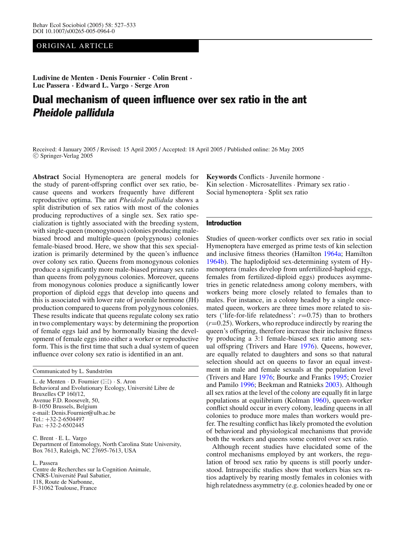## ORIGINAL ARTICLE

**Ludivine de Menten · Denis Fournier · Colin Brent · Luc Passera · Edward L. Vargo · Serge Aron**

# Dual mechanism of queen influence over sex ratio in the ant Pheidole pallidula

Received: 4 January 2005 / Revised: 15 April 2005 / Accepted: 18 April 2005 / Published online: 26 May 2005 <sup>C</sup> Springer-Verlag 2005

**Abstract** Social Hymenoptera are general models for the study of parent-offspring conflict over sex ratio, because queens and workers frequently have different reproductive optima. The ant *Pheidole pallidula* shows a split distribution of sex ratios with most of the colonies producing reproductives of a single sex. Sex ratio specialization is tightly associated with the breeding system, with single-queen (monogynous) colonies producing malebiased brood and multiple-queen (polygynous) colonies female-biased brood. Here, we show that this sex specialization is primarily determined by the queen's influence over colony sex ratio. Queens from monogynous colonies produce a significantly more male-biased primary sex ratio than queens from polygynous colonies. Moreover, queens from monogynous colonies produce a significantly lower proportion of diploid eggs that develop into queens and this is associated with lower rate of juvenile hormone (JH) production compared to queens from polygynous colonies. These results indicate that queens regulate colony sex ratio in two complementary ways: by determining the proportion of female eggs laid and by hormonally biasing the development of female eggs into either a worker or reproductive form. This is the first time that such a dual system of queen influence over colony sex ratio is identified in an ant.

Communicated by L. Sundström

L. de Menten  $\cdot$  D. Fournier ( $\boxtimes$ )  $\cdot$  S. Aron Behavioral and Evolutionary Ecology, Universite Libre de ´ Bruxelles CP 160/12, Avenue F.D. Roosevelt, 50, B-1050 Brussels, Belgium e-mail: Denis.Fournier@ulb.ac.be Tel.: +32-2-6504497 Fax: +32-2-6502445

C. Brent · E. L. Vargo Department of Entomology, North Carolina State University, Box 7613, Raleigh, NC 27695-7613, USA

L. Passera Centre de Recherches sur la Cognition Animale, CNRS-Universite Paul Sabatier, ´ 118, Route de Narbonne, F-31062 Toulouse, France

**Keywords** Conflicts . Juvenile hormone . Kin selection  $\cdot$  Microsatellites  $\cdot$  Primary sex ratio  $\cdot$ Social hymenoptera . Split sex ratio

#### Introduction

Studies of queen-worker conflicts over sex ratio in social Hymenoptera have emerged as prime tests of kin selection and inclusive fitness theories (Hamilton [1964a;](#page-5-0) Hamilton [1964b\)](#page-5-1). The haplodiploid sex-determining system of Hymenoptera (males develop from unfertilized-haploid eggs, females from fertilized-diploid eggs) produces asymmetries in genetic relatedness among colony members, with workers being more closely related to females than to males. For instance, in a colony headed by a single oncemated queen, workers are three times more related to sisters ('life-for-life relatedness':  $r=0.75$ ) than to brothers (*r*=0.25). Workers, who reproduce indirectly by rearing the queen's offspring, therefore increase their inclusive fitness by producing a 3:1 female-biased sex ratio among sexual offspring (Trivers and Hare [1976\)](#page-6-0). Queens, however, are equally related to daughters and sons so that natural selection should act on queens to favor an equal investment in male and female sexuals at the population level (Trivers and Hare [1976;](#page-6-0) Bourke and Franks [1995;](#page-5-2) Crozier and Pamilo [1996;](#page-5-3) Beekman and Ratnieks [2003\)](#page-5-4). Although all sex ratios at the level of the colony are equally fit in large populations at equilibrium (Kolman [1960\)](#page-6-1), queen-worker conflict should occur in every colony, leading queens in all colonies to produce more males than workers would prefer. The resulting conflict has likely promoted the evolution of behavioral and physiological mechanisms that provide both the workers and queens some control over sex ratio.

Although recent studies have elucidated some of the control mechanisms employed by ant workers, the regulation of brood sex ratio by queens is still poorly understood. Intraspecific studies show that workers bias sex ratios adaptively by rearing mostly females in colonies with high relatedness asymmetry (e.g. colonies headed by one or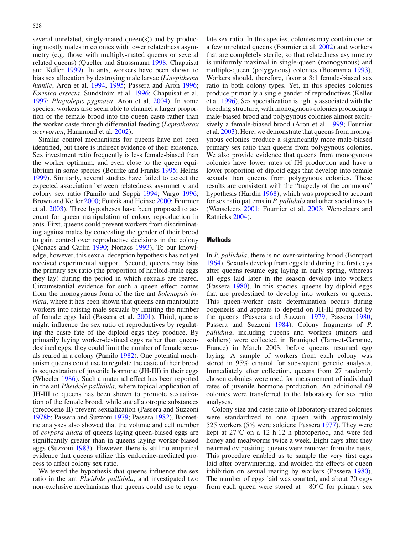several unrelated, singly-mated queen(s)) and by producing mostly males in colonies with lower relatedness asymmetry (e.g. those with multiply-mated queens or several related queens) (Queller and Strassmann [1998;](#page-6-2) Chapuisat and Keller [1999\)](#page-5-5). In ants, workers have been shown to bias sex allocation by destroying male larvae (*Linepithema humile*, Aron et al. [1994,](#page-5-6) [1995;](#page-5-7) Passera and Aron [1996;](#page-6-3) *Formica exsecta*, Sundström et al. [1996;](#page-6-4) Chapuisat et al. [1997;](#page-5-8) *Plagiolepis pygmaea*, Aron et al. [2004\)](#page-5-9). In some species, workers also seem able to channel a larger proportion of the female brood into the queen caste rather than the worker caste through differential feeding (*Leptothorax acervorum*, Hammond et al. [2002\)](#page-5-10).

Similar control mechanisms for queens have not been identified, but there is indirect evidence of their existence. Sex investment ratio frequently is less female-biased than the worker optimum, and even close to the queen equilibrium in some species (Bourke and Franks [1995;](#page-5-2) Helms [1999\)](#page-5-11). Similarly, several studies have failed to detect the expected association between relatedness asymmetry and colony sex ratio (Pamilo and Seppa¨ [1994;](#page-6-5) Vargo [1996;](#page-6-6) Brown and Keller [2000;](#page-5-12) Foitzik and Heinze [2000;](#page-5-13) Fournier et al. [2003\)](#page-5-14). Three hypotheses have been proposed to account for queen manipulation of colony reproduction in ants. First, queens could prevent workers from discriminating against males by concealing the gender of their brood to gain control over reproductive decisions in the colony (Nonacs and Carlin [1990;](#page-6-7) Nonacs [1993\)](#page-6-8). To our knowledge, however, this sexual deception hypothesis has not yet received experimental support. Second, queens may bias the primary sex ratio (the proportion of haploid-male eggs they lay) during the period in which sexuals are reared. Circumstantial evidence for such a queen effect comes from the monogynous form of the fire ant *Solenopsis invicta*, where it has been shown that queens can manipulate workers into raising male sexuals by limiting the number of female eggs laid (Passera et al. [2001\)](#page-6-9). Third, queens might influence the sex ratio of reproductives by regulating the caste fate of the diploid eggs they produce. By primarily laying worker-destined eggs rather than queendestined eggs, they could limit the number of female sexuals reared in a colony (Pamilo [1982\)](#page-6-10). One potential mechanism queens could use to regulate the caste of their brood is sequestration of juvenile hormone (JH-III) in their eggs (Wheeler [1986\)](#page-6-11). Such a maternal effect has been reported in the ant *Pheidole pallidula*, where topical application of JH-III to queens has been shown to promote sexualization of the female brood, while antiallatotropic substances (precocene II) prevent sexualization (Passera and Suzzoni [1978b;](#page-6-12) Passera and Suzzoni [1979;](#page-6-13) Passera [1982\)](#page-6-14). Biometric analyses also showed that the volume and cell number of *corpora allata* of queens laying queen-biased eggs are significantly greater than in queens laying worker-biased eggs (Suzzoni [1983\)](#page-6-15). However, there is still no empirical evidence that queens utilize this endocrine-mediated process to affect colony sex ratio.

We tested the hypothesis that queens influence the sex ratio in the ant *Pheidole pallidula*, and investigated two non-exclusive mechanisms that queens could use to regulate sex ratio. In this species, colonies may contain one or a few unrelated queens (Fournier et al. [2002\)](#page-5-15) and workers that are completely sterile, so that relatedness asymmetry is uniformly maximal in single-queen (monogynous) and multiple-queen (polygynous) colonies (Boomsma [1993\)](#page-5-16). Workers should, therefore, favor a 3:1 female-biased sex ratio in both colony types. Yet, in this species colonies produce primarily a single gender of reproductives (Keller et al. [1996\)](#page-6-16). Sex specialization is tightly associated with the breeding structure, with monogynous colonies producing a male-biased brood and polygynous colonies almost exclusively a female-biased brood (Aron et al. [1999;](#page-5-17) Fournier et al. [2003\)](#page-5-14). Here, we demonstrate that queens from monogynous colonies produce a significantly more male-biased primary sex ratio than queens from polygynous colonies. We also provide evidence that queens from monogynous colonies have lower rates of JH production and have a lower proportion of diploid eggs that develop into female sexuals than queens from polygynous colonies. These results are consistent with the "tragedy of the commons" hypothesis (Hardin [1968\)](#page-5-18), which was proposed to account for sex ratio patterns in *P. pallidula* and other social insects (Wenseleers [2001;](#page-6-17) Fournier et al. [2003;](#page-5-14) Wenseleers and Ratnieks [2004\)](#page-6-18).

#### Methods

In *P. pallidula*, there is no over-wintering brood (Bontpart [1964\)](#page-5-19). Sexuals develop from eggs laid during the first days after queens resume egg laying in early spring, whereas all eggs laid later in the season develop into workers (Passera [1980\)](#page-6-19). In this species, queens lay diploid eggs that are predestined to develop into workers or queens. This queen-worker caste determination occurs during oogenesis and appears to depend on JH-III produced by the queens (Passera and Suzzoni [1979;](#page-6-13) Passera [1980;](#page-6-19) Passera and Suzzoni [1984\)](#page-6-20). Colony fragments of *P. pallidula*, including queens and workers (minors and soldiers) were collected in Bruniquel (Tarn-et-Garonne, France) in March 2003, before queens resumed egg laying. A sample of workers from each colony was stored in 95% ethanol for subsequent genetic analyses. Immediately after collection, queens from 27 randomly chosen colonies were used for measurement of individual rates of juvenile hormone production. An additional 69 colonies were transferred to the laboratory for sex ratio analyses.

Colony size and caste ratio of laboratory-reared colonies were standardized to one queen with approximately 525 workers (5% were soldiers; Passera [1977\)](#page-6-21). They were kept at 27◦C on a 12 h:12 h photoperiod, and were fed honey and mealworms twice a week. Eight days after they resumed ovipositing, queens were removed from the nests. This procedure enabled us to sample the very first eggs laid after overwintering, and avoided the effects of queen inhibition on sexual rearing by workers (Passera [1980\)](#page-6-19). The number of eggs laid was counted, and about 70 eggs from each queen were stored at −80◦C for primary sex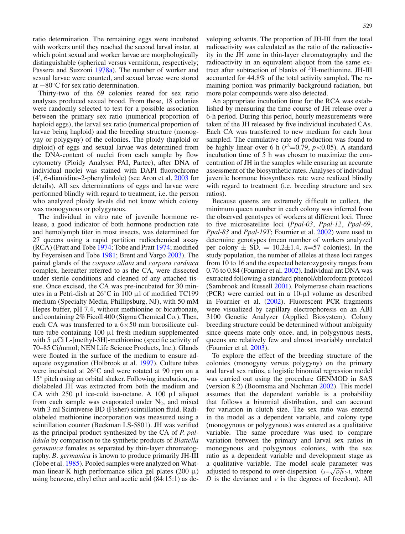ratio determination. The remaining eggs were incubated with workers until they reached the second larval instar, at which point sexual and worker larvae are morphologically distinguishable (spherical versus vermiform, respectively; Passera and Suzzoni [1978a\)](#page-6-22). The number of worker and sexual larvae were counted, and sexual larvae were stored at −80◦C for sex ratio determination.

Thirty-two of the 69 colonies reared for sex ratio analyses produced sexual brood. From these, 18 colonies were randomly selected to test for a possible association between the primary sex ratio (numerical proportion of haploid eggs), the larval sex ratio (numerical proportion of larvae being haploid) and the breeding structure (monogyny or polygyny) of the colonies. The ploidy (haploid or diploid) of eggs and sexual larvae was determined from the DNA-content of nuclei from each sample by flow cytometry (Ploidy Analyser PAI, Partec), after DNA of individual nuclei was stained with DAPI fluorochrome (4 , 6-diamidino-2-phenylindole) (see Aron et al. [2003](#page-5-20) for details). All sex determinations of eggs and larvae were performed blindly with regard to treatment, i.e. the person who analyzed ploidy levels did not know which colony was monogynous or polygynous.

The individual in vitro rate of juvenile hormone release, a good indicator of both hormone production rate and hemolymph titer in most insects, was determined for 27 queens using a rapid partition radiochemical assay (RCA) (Pratt and Tobe [1974;](#page-6-23) Tobe and Pratt [1974;](#page-6-24) modified by Feyereisen and Tobe [1981;](#page-5-21) Brent and Vargo [2003\)](#page-5-22). The paired glands of the *corpora allata* and *corpora cardiaca* complex, hereafter referred to as the CA, were dissected under sterile conditions and cleaned of any attached tissue. Once excised, the CA was pre-incubated for 30 minutes in a Petri-dish at 26◦C in 100 µl of modified TC199 medium (Specialty Media, Phillipsburg, NJ), with 50 mM Hepes buffer, pH 7.4, without methionine or bicarbonate, and containing 2% Ficoll 400 (Sigma Chemical Co.). Then, each CA was transferred to a  $6\times50$  mm borosilicate culture tube containing  $100 \mu l$  fresh medium supplemented with 5  $\mu$ Ci L-[methyl-3H]-methionine (specific activity of 70–85 Ci/mmol; NEN Life Science Products, Inc.). Glands were floated in the surface of the medium to ensure adequate oxygenation (Holbrook et al. [1997\)](#page-5-23). Culture tubes were incubated at 26◦C and were rotated at 90 rpm on a 15◦ pitch using an orbital shaker. Following incubation, radiolabeled JH was extracted from both the medium and CA with  $250 \mu l$  ice-cold iso-octane. A 100  $\mu l$  aliquot from each sample was evaporated under  $N_2$ , and mixed with 3 ml Scintiverse BD (Fisher) scintillation fluid. Radiolabeled methionine incorporation was measured using a scintillation counter (Beckman LS-5801). JH was verified as the principal product synthesized by the CA of *P. pallidula* by comparison to the synthetic products of *Blattella germanica* females as separated by thin-layer chromatography. *B. germanica* is known to produce primarily JH-III (Tobe et al. [1985\)](#page-6-25). Pooled samples were analyzed on Whatman linear-K high performance silica gel plates (200  $\mu$ ) using benzene, ethyl ether and acetic acid (84:15:1) as developing solvents. The proportion of JH-III from the total radioactivity was calculated as the ratio of the radioactivity in the JH zone in thin-layer chromatography and the radioactivity in an equivalent aliquot from the same extract after subtraction of blanks of 3H-methionine. JH-III accounted for 44.8% of the total activity sampled. The remaining portion was primarily background radiation, but more polar compounds were also detected.

An appropriate incubation time for the RCA was established by measuring the time course of JH release over a 6-h period. During this period, hourly measurements were taken of the JH released by five individual incubated CAs. Each CA was transferred to new medium for each hour sampled. The cumulative rate of production was found to be highly linear over 6 h  $(r^2=0.79, p<0.05)$ . A standard incubation time of 5 h was chosen to maximize the concentration of JH in the samples while ensuring an accurate assessment of the biosynthetic rates. Analyses of individual juvenile hormone biosynthesis rate were realized blindly with regard to treatment (i.e. breeding structure and sex ratios).

Because queens are extremely difficult to collect, the minimum queen number in each colony was inferred from the observed genotypes of workers at different loci. Three to five microsatellite loci (*Ppal-03*, *Ppal-12*, *Ppal-69*, *Ppal-83* and *Ppal-19T*; Fournier et al. [2002\)](#page-5-15) were used to determine genotypes (mean number of workers analyzed per colony  $\pm$  SD. = 10.2 $\pm$ 1.4, *n*=57 colonies). In the study population, the number of alleles at these loci ranges from 10 to 16 and the expected heterozygosity ranges from 0.76 to 0.84 (Fournier et al. [2002\)](#page-5-15). Individual ant DNA was extracted following a standard phenol/chloroform protocol (Sambrook and Russell [2001\)](#page-6-26). Polymerase chain reactions (PCR) were carried out in a  $10-\mu$ l volume as described in Fournier et al. [\(2002\)](#page-5-15). Fluorescent PCR fragments were visualized by capillary electrophoresis on an ABI 3100 Genetic Analyzer (Applied Biosystem). Colony breeding structure could be determined without ambiguity since queens mate only once, and, in polygynous nests, queens are relatively few and almost invariably unrelated (Fournier et al. [2003\)](#page-5-14).

To explore the effect of the breeding structure of the colonies (monogyny versus polygyny) on the primary and larval sex ratios, a logistic binomial regression model was carried out using the procedure GENMOD in SAS (version 8.2) (Boomsma and Nachman [2002\)](#page-5-24). This model assumes that the dependent variable is a probability that follows a binomial distribution, and can account for variation in clutch size. The sex ratio was entered in the model as a dependent variable, and colony type (monogynous or polygynous) was entered as a qualitative variable. The same procedure was used to compare variation between the primary and larval sex ratios in monogynous and polygynous colonies, with the sex ratio as a dependent variable and development stage as a qualitative variable. The model scale parameter was a quantative variable. The model scale parameter was<br>adjusted to respond to over-dispersion  $(s=\sqrt{D/v}>1)$ , where *D* is the deviance and  $\nu$  is the degrees of freedom). All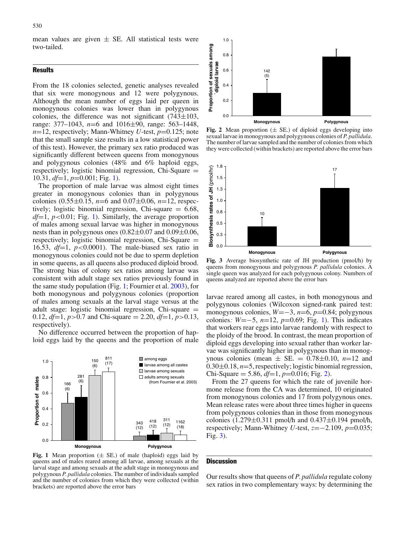mean values are given  $\pm$  SE. All statistical tests were two-tailed.

### Results

From the 18 colonies selected, genetic analyses revealed that six were monogynous and 12 were polygynous. Although the mean number of eggs laid per queen in monogynous colonies was lower than in polygynous colonies, the difference was not significant  $(743\pm103,$ range: 377–1043, *n*=6 and 1016±90, range: 563–1448, *n*=12, respectively; Mann-Whitney *U*-test, *p*=0.125; note that the small sample size results in a low statistical power of this test). However, the primary sex ratio produced was significantly different between queens from monogynous and polygynous colonies (48% and 6% haploid eggs, respectively; logistic binomial regression, Chi-Square = 10.31, *df*=1, *p*=0.001; Fig. [1\)](#page-3-0).

The proportion of male larvae was almost eight times greater in monogynous colonies than in polygynous colonies (0.55±0.15, *n*=6 and 0.07±0.06, *n*=12, respectively; logistic binomial regression, Chi-square  $= 6.68$ , *df*=1, *p*<0.01; Fig. [1\)](#page-3-0). Similarly, the average proportion of males among sexual larvae was higher in monogynous nests than in polygynous ones  $(0.82\pm0.07$  and  $0.09\pm0.06$ , respectively; logistic binomial regression, Chi-Square = 16.53,  $df=1$ ,  $p<0.0001$ ). The male-biased sex ratio in monogynous colonies could not be due to sperm depletion in some queens, as all queens also produced diploid brood. The strong bias of colony sex ratios among larvae was consistent with adult stage sex ratios previously found in the same study population (Fig. [1;](#page-3-0) Fournier et al. [2003\)](#page-5-14), for both monogynous and polygynous colonies (proportion of males among sexuals at the larval stage versus at the adult stage: logistic binomial regression, Chi-square = 0.12, *df*=1, *p*>0.7 and Chi-square = 2.20, *df*=1, *p*>0.13, respectively).

No difference occurred between the proportion of haploid eggs laid by the queens and the proportion of male

<span id="page-3-0"></span>

**Fig. 1** Mean proportion  $(\pm \text{ SE})$  of male (haploid) eggs laid by queens and of males reared among all larvae, among sexuals at the larval stage and among sexuals at the adult stage in monogynous and polygynous *P. pallidula* colonies. The number of individuals sampled and the number of colonies from which they were collected (within brackets) are reported above the error bars

<span id="page-3-1"></span>

**Fig. 2** Mean proportion  $(\pm \text{ SE.})$  of diploid eggs developing into sexual larvae in monogynous and polygynous colonies of *P. pallidula*. The number of larvae sampled and the number of colonies from which they were collected (within brackets) are reported above the error bars

<span id="page-3-2"></span>

**Fig. 3** Average biosynthetic rate of JH production (pmol/h) by queens from monogynous and polygynous *P. pallidula* colonies. A single queen was analyzed for each polygynous colony. Numbers of queens analyzed are reported above the error bars

larvae reared among all castes, in both monogynous and polygynous colonies (Wilcoxon signed-rank paired test: monogynous colonies, *W*=−3, *n*=6, *p*=0.84; polygynous colonies*: W*=−5, *n*=12, *p*=0.69; Fig. [1\)](#page-3-0). This indicates that workers rear eggs into larvae randomly with respect to the ploidy of the brood. In contrast, the mean proportion of diploid eggs developing into sexual rather than worker larvae was significantly higher in polygynous than in monogynous colonies (mean  $\pm$  SE. = 0.78 $\pm$ 0.10, *n*=12 and 0.30±0.18, *n*=5, respectively; logistic binomial regression, Chi-Square = 5.86,  $df=1$ ,  $p=0.016$ ; Fig. [2\)](#page-3-1).

From the 27 queens for which the rate of juvenile hormone release from the CA was determined, 10 originated from monogynous colonies and 17 from polygynous ones. Mean release rates were about three times higher in queens from polygynous colonies than in those from monogynous colonies  $(1.279 \pm 0.311 \text{ pmol/h}$  and  $0.437 \pm 0.194 \text{ pmol/h}$ , respectively; Mann-Whitney *U*-test, *z*=−2.109, *p*=0.035; Fig. [3\)](#page-3-2).

### **Discussion**

Our results show that queens of *P. pallidula* regulate colony sex ratios in two complementary ways: by determining the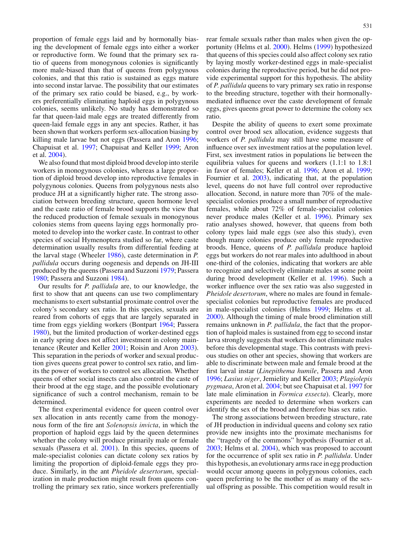proportion of female eggs laid and by hormonally biasing the development of female eggs into either a worker or reproductive form. We found that the primary sex ratio of queens from monogynous colonies is significantly more male-biased than that of queens from polygynous colonies, and that this ratio is sustained as eggs mature into second instar larvae. The possibility that our estimates of the primary sex ratio could be biased, e.g., by workers preferentially eliminating haploid eggs in polygynous colonies, seems unlikely. No study has demonstrated so far that queen-laid male eggs are treated differently from queen-laid female eggs in any ant species. Rather, it has been shown that workers perform sex-allocation biasing by killing male larvae but not eggs (Passera and Aron [1996;](#page-6-3) Chapuisat et al. [1997;](#page-5-8) Chapuisat and Keller [1999;](#page-5-5) Aron et al. [2004\)](#page-5-9).

We also found that most diploid brood develop into sterile workers in monogynous colonies, whereas a large proportion of diploid brood develop into reproductive females in polygynous colonies. Queens from polygynous nests also produce JH at a significantly higher rate. The strong association between breeding structure, queen hormone level and the caste ratio of female brood supports the view that the reduced production of female sexuals in monogynous colonies stems from queens laying eggs hormonally promoted to develop into the worker caste. In contrast to other species of social Hymenoptera studied so far, where caste determination usually results from differential feeding at the larval stage (Wheeler [1986\)](#page-6-11), caste determination in *P. pallidula* occurs during oogenesis and depends on JH-III produced by the queens (Passera and Suzzoni [1979;](#page-6-13) Passera [1980;](#page-6-19) Passera and Suzzoni [1984\)](#page-6-20).

Our results for *P. pallidula* are, to our knowledge, the first to show that ant queens can use two complimentary mechanisms to exert substantial proximate control over the colony's secondary sex ratio. In this species, sexuals are reared from cohorts of eggs that are largely separated in time from eggs yielding workers (Bontpart [1964;](#page-5-19) Passera [1980\)](#page-6-19), but the limited production of worker-destined eggs in early spring does not affect investment in colony maintenance (Reuter and Keller [2001;](#page-6-27) Roisin and Aron [2003\)](#page-6-28). This separation in the periods of worker and sexual production gives queens great power to control sex ratio, and limits the power of workers to control sex allocation. Whether queens of other social insects can also control the caste of their brood at the egg stage, and the possible evolutionary significance of such a control mechanism, remain to be determined.

The first experimental evidence for queen control over sex allocation in ants recently came from the monogynous form of the fire ant *Solenopsis invicta*, in which the proportion of haploid eggs laid by the queen determines whether the colony will produce primarily male or female sexuals (Passera et al. [2001\)](#page-6-9). In this species, queens of male-specialist colonies can dictate colony sex ratios by limiting the proportion of diploid-female eggs they produce. Similarly, in the ant *Pheidole desertorum*, specialization in male production might result from queens controlling the primary sex ratio, since workers preferentially

rear female sexuals rather than males when given the opportunity (Helms et al. [2000\)](#page-5-25). Helms [\(1999\)](#page-5-11) hypothesized that queens of this species could also affect colony sex ratio by laying mostly worker-destined eggs in male-specialist colonies during the reproductive period, but he did not provide experimental support for this hypothesis. The ability of *P. pallidula* queens to vary primary sex ratio in response to the breeding structure, together with their hormonallymediated influence over the caste development of female eggs, gives queens great power to determine the colony sex ratio.

Despite the ability of queens to exert some proximate control over brood sex allocation, evidence suggests that workers of *P. pallidula* may still have some measure of influence over sex investment ratios at the population level. First, sex investment ratios in populations lie between the equilibria values for queens and workers (1.1:1 to 1.8:1 in favor of females; Keller et al. [1996;](#page-6-16) Aron et al. [1999;](#page-5-17) Fournier et al. [2003\)](#page-5-14), indicating that, at the population level, queens do not have full control over reproductive allocation. Second, in nature more than 70% of the malespecialist colonies produce a small number of reproductive females, while about 72% of female-specialist colonies never produce males (Keller et al. [1996\)](#page-6-16). Primary sex ratio analyses showed, however, that queens from both colony types laid male eggs (see also this study), even though many colonies produce only female reproductive broods. Hence, queens of *P. pallidula* produce haploid eggs but workers do not rear males into adulthood in about one-third of the colonies, indicating that workers are able to recognize and selectively eliminate males at some point during brood development (Keller et al. [1996\)](#page-6-16). Such a worker influence over the sex ratio was also suggested in *Pheidole desertorum*, where no males are found in femalespecialist colonies but reproductive females are produced in male-specialist colonies (Helms [1999;](#page-5-11) Helms et al. [2000\)](#page-5-25). Although the timing of male brood elimination still remains unknown in *P. pallidula*, the fact that the proportion of haploid males is sustained from egg to second instar larva strongly suggests that workers do not eliminate males before this developmental stage. This contrasts with previous studies on other ant species, showing that workers are able to discriminate between male and female brood at the first larval instar (*Linepithema humile*, Passera and Aron [1996;](#page-6-3) *Lasius niger*, Jemielity and Keller [2003;](#page-6-29) *Plagiolepis pygmaea*, Aron et al. [2004;](#page-5-9) but see Chapuisat et al. [1997](#page-5-8) for late male elimination in *Formica exsecta*). Clearly, more experiments are needed to determine when workers can identify the sex of the brood and therefore bias sex ratio.

The strong associations between breeding structure, rate of JH production in individual queens and colony sex ratio provide new insights into the proximate mechanisms for the "tragedy of the commons" hypothesis (Fournier et al. [2003;](#page-5-14) Helms et al. [2004\)](#page-5-26), which was proposed to account for the occurrence of split sex ratio in *P. pallidula*. Under this hypothesis, an evolutionary arms race in egg production would occur among queens in polygynous colonies, each queen preferring to be the mother of as many of the sexual offspring as possible. This competition would result in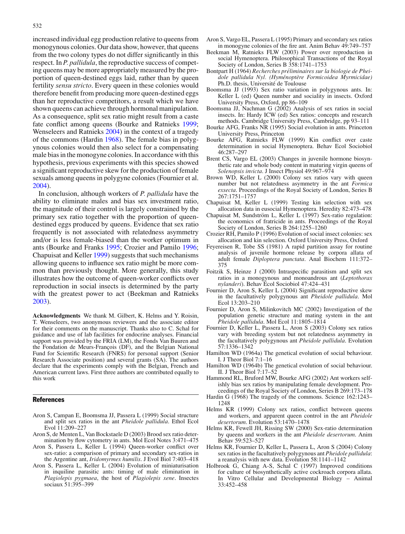increased individual egg production relative to queens from monogynous colonies. Our data show, however, that queens from the two colony types do not differ significantly in this respect. In *P. pallidula*, the reproductive success of competing queens may be more appropriately measured by the proportion of queen-destined eggs laid, rather than by queen fertility *sensu stricto*. Every queen in these colonies would therefore benefit from producing more queen-destined eggs than her reproductive competitors, a result which we have shown queens can achieve through hormonal manipulation. As a consequence, split sex ratio might result from a caste fate conflict among queens (Bourke and Ratnieks [1999;](#page-5-27) Wenseleers and Ratnieks [2004\)](#page-6-18) in the context of a tragedy of the commons (Hardin [1968\)](#page-5-18). The female bias in polygynous colonies would then also select for a compensating male bias in the monogyne colonies. In accordance with this hypothesis, previous experiments with this species showed a significant reproductive skew for the production of female sexuals among queens in polygyne colonies (Fournier et al. [2004\)](#page-5-28).

In conclusion, although workers of *P. pallidula* have the ability to eliminate males and bias sex investment ratio, the magnitude of their control is largely constrained by the primary sex ratio together with the proportion of queendestined eggs produced by queens. Evidence that sex ratio frequently is not associated with relatedness asymmetry and/or is less female-biased than the worker optimum in ants (Bourke and Franks [1995;](#page-5-2) Crozier and Pamilo [1996;](#page-5-3) Chapuisat and Keller [1999\)](#page-5-5) suggests that such mechanisms allowing queens to influence sex ratio might be more common than previously thought. More generally, this study illustrates how the outcome of queen-worker conflicts over reproduction in social insects is determined by the party with the greatest power to act (Beekman and Ratnieks [2003\)](#page-5-4).

**Acknowledgments** We thank M. Gilbert, K. Helms and Y. Roisin, T. Wenseleers, two anonymous reviewers and the associate editor for their comments on the manuscript. Thanks also to C. Schal for guidance and use of lab facilities for endocrine analyses. Financial support was provided by the FRIA (LM), the Fonds Van Buuren and the Fondation de Meurs-François (DF), and the Belgian National Fund for Scientific Research (FNRS) for personal support (Senior Research Associate position) and several grants (SA). The authors declare that the experiments comply with the Belgian, French and American current laws. First three authors are contributed equally to this work

#### References

- Aron S, Campan E, Boomsma JJ, Passera L (1999) Social structure and split sex ratios in the ant *Pheidole pallidula*. Ethol Ecol Evol 11:209–227
- <span id="page-5-17"></span>Aron S, de Menten L, Van Bockstaele D (2003) Brood sex ratio determination by flow cytometry in ants. Mol Ecol Notes 3:471–475
- Aron S, Passera L, Keller L (1994) Queen-worker conflict over sex-ratio: a comparison of primary and secondary sex-ratios in the Argentine ant, *Iridomyrmex humilis*. J Evol Biol 7:403–418
- <span id="page-5-9"></span>Aron S, Passera L, Keller L (2004) Evolution of miniaturisation in inquiline parasitic ants: timing of male elimination in *Plagiolepis pygmaea*, the host of *Plagiolepis xene*. Insectes sociaux 51:395–399
- Aron S, Vargo EL, Passera L (1995) Primary and secondary sex ratios in monogyne colonies of the fire ant. Anim Behav 49:749–757
- <span id="page-5-7"></span>Beekman M, Ratnieks FLW (2003) Power over reproduction in social Hymenoptera. Philosophical Transactions of the Royal Society of London, Series B 358:1741–1753
- <span id="page-5-4"></span>Bontpart H (1964) *Recherches preliminaires sur la biologie de Phei- ´ dole pallidula Nyl. (Hyménoptère Formicoidea Myrmicidae)* Ph.D. thesis, Université de Toulouse
- <span id="page-5-19"></span>Boomsma JJ (1993) Sex ratio variation in polygynous ants. In: Keller L (ed) Queen number and sociality in insects. Oxford University Press, Oxford, pp 86–109
- <span id="page-5-16"></span>Boomsma JJ, Nachman G (2002) Analysis of sex ratios in social insects. In: Hardy ICW (ed) Sex ratios: concepts and research methods. Cambridge University Press, Cambridge, pp 93–111
- <span id="page-5-24"></span>Bourke AFG, Franks NR (1995) Social evolution in ants. Princeton University Press, Princeton
- <span id="page-5-2"></span>Bourke AFG, Ratnieks FLW (1999) Kin conflict over caste determination in social Hymenoptera. Behav Ecol Sociobiol 46:287–297
- <span id="page-5-27"></span>Brent CS, Vargo EL (2003) Changes in juvenile hormone biosynthetic rate and whole body content in maturing virgin queens of *Solenopsis invicta*. J Insect Physiol 49:967–974
- <span id="page-5-22"></span>Brown WD, Keller L (2000) Colony sex ratios vary with queen number but not relatedness asymmetry in the ant *Formica exsecta*. Proceedings of the Royal Society of London, Series B 267:1751–1757
- <span id="page-5-12"></span>Chapuisat M, Keller L (1999) Testing kin selection with sex allocation data in eusocial Hymenoptera. Heredity 82:473–478
- <span id="page-5-5"></span>Chapuisat M, Sundström L, Keller L (1997) Sex-ratio regulation: the economics of fratricide in ants. Proceedings of the Royal Society of London, Series B 264:1255–1260
- <span id="page-5-8"></span>Crozier RH, Pamilo P (1996) Evolution of social insect colonies: sex allocation and kin selection. Oxford University Press, Oxford
- <span id="page-5-3"></span>Feyereisen R, Tobe SS (1981) A rapid partition assay for routine analysis of juvenile hormone release by corpora allata of adult female *Diploptera punctata*. Anal Biochem 111:372– 375
- <span id="page-5-21"></span>Foitzik S, Heinze J (2000) Intraspecific parasitism and split sex ratios in a monogynous and monoandrous ant (*Leptothorax nylanderi*). Behav Ecol Sociobiol 47:424–431
- <span id="page-5-13"></span>Fournier D, Aron S, Keller L (2004) Significant reproductive skew in the facultatively polygynous ant *Pheidole pallidula*. Mol Ecol 13:203–210
- <span id="page-5-28"></span>Fournier D, Aron S, Milinkovitch MC (2002) Investigation of the population genetic structure and mating system in the ant *Pheidole pallidula*. Mol Ecol 11:1805–1814
- <span id="page-5-15"></span>Fournier D, Keller L, Passera L, Aron S (2003) Colony sex ratios vary with breeding system but not relatedness asymmetry in the facultatively polygynous ant *Pheidole pallidula*. Evolution 57:1336–1342
- <span id="page-5-14"></span>Hamilton WD (1964a) The genetical evolution of social behaviour. I. J Theor Biol 7:1–16
- <span id="page-5-0"></span>Hamilton WD (1964b) The genetical evolution of social behaviour. II. J Theor Biol 7:17–52
- <span id="page-5-1"></span>Hammond RL, Bruford MW, Bourke AFG (2002) Ant workers selfishly bias sex ratios by manipulating female development. Proceedings of the Royal Society of London, Series B 269:173–178
- <span id="page-5-10"></span>Hardin G (1968) The tragedy of the commons. Science 162:1243– 1248
- <span id="page-5-18"></span>Helms KR (1999) Colony sex ratios, conflict between queens and workers, and apparent queen control in the ant *Pheidole desertorum*. Evolution 53:1470–1478
- <span id="page-5-11"></span>Helms KR, Fewell JH, Rissing SW (2000) Sex-ratio determination by queens and workers in the ant *Pheidole desertorum*. Anim Behav 59:523–527
- <span id="page-5-25"></span><span id="page-5-20"></span>Helms KR, Fournier D, Keller L, Passera L, Aron S (2004) Colony sex ratios in the facultatively polygynous ant *Pheidole pallidula*: a reanalysis with new data. Evolution 58:1141–1142
- <span id="page-5-26"></span><span id="page-5-23"></span><span id="page-5-6"></span>Holbrook G, Chiang A-S, Schal C (1997) Improved conditions for culture of biosynthetically active cockroach corpora allata. In Vitro Cellular and Developmental Biology – Animal 33:452–458